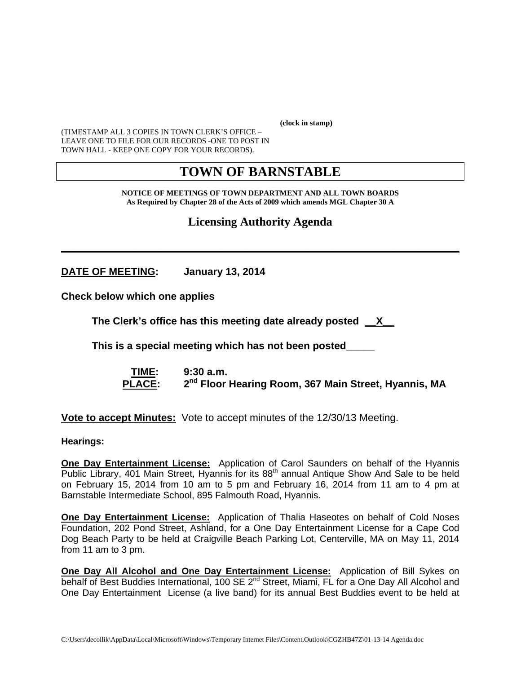**(clock in stamp)** 

(TIMESTAMP ALL 3 COPIES IN TOWN CLERK'S OFFICE – LEAVE ONE TO FILE FOR OUR RECORDS -ONE TO POST IN TOWN HALL - KEEP ONE COPY FOR YOUR RECORDS).

# **TOWN OF BARNSTABLE**

**NOTICE OF MEETINGS OF TOWN DEPARTMENT AND ALL TOWN BOARDS As Required by Chapter 28 of the Acts of 2009 which amends MGL Chapter 30 A** 

**Licensing Authority Agenda**

**\_\_\_\_\_\_\_\_\_\_\_\_\_\_\_\_\_\_\_\_\_\_\_\_\_\_\_\_\_\_\_\_\_\_\_\_\_\_\_\_\_\_\_\_\_\_\_\_\_\_\_\_\_\_\_\_\_\_\_\_**

**DATE OF MEETING: January 13, 2014** 

**Check below which one applies** 

**The Clerk's office has this meeting date already posted \_\_X\_\_**

 **This is a special meeting which has not been posted\_\_\_\_\_** 

 **TIME: 9:30 a.m.**  PLACE: 2<sup>nd</sup> Floor Hearing Room, 367 Main Street, Hyannis, MA

**Vote to accept Minutes:** Vote to accept minutes of the 12/30/13 Meeting.

**Hearings:** 

**One Day Entertainment License:** Application of Carol Saunders on behalf of the Hyannis Public Library, 401 Main Street, Hyannis for its 88<sup>th</sup> annual Antique Show And Sale to be held on February 15, 2014 from 10 am to 5 pm and February 16, 2014 from 11 am to 4 pm at Barnstable Intermediate School, 895 Falmouth Road, Hyannis.

**One Day Entertainment License:** Application of Thalia Haseotes on behalf of Cold Noses Foundation, 202 Pond Street, Ashland, for a One Day Entertainment License for a Cape Cod Dog Beach Party to be held at Craigville Beach Parking Lot, Centerville, MA on May 11, 2014 from 11 am to 3 pm.

**One Day All Alcohol and One Day Entertainment License:** Application of Bill Sykes on behalf of Best Buddies International, 100 SE 2<sup>nd</sup> Street, Miami, FL for a One Day All Alcohol and One Day Entertainment License (a live band) for its annual Best Buddies event to be held at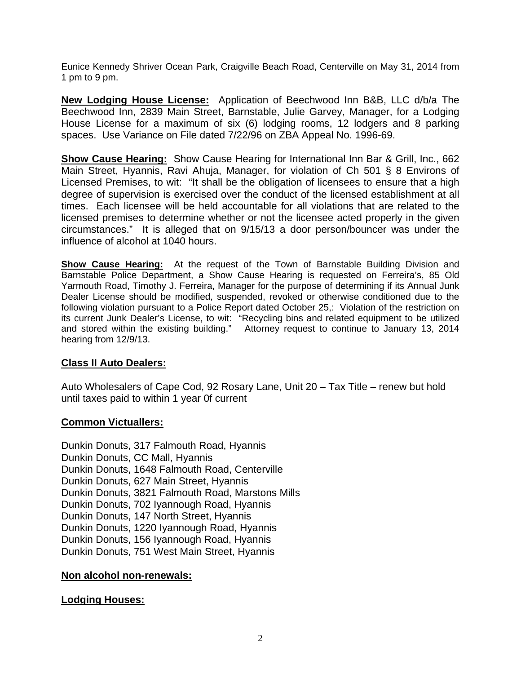Eunice Kennedy Shriver Ocean Park, Craigville Beach Road, Centerville on May 31, 2014 from 1 pm to 9 pm.

**New Lodging House License:** Application of Beechwood Inn B&B, LLC d/b/a The Beechwood Inn, 2839 Main Street, Barnstable, Julie Garvey, Manager, for a Lodging House License for a maximum of six (6) lodging rooms, 12 lodgers and 8 parking spaces. Use Variance on File dated 7/22/96 on ZBA Appeal No. 1996-69.

**Show Cause Hearing:** Show Cause Hearing for International Inn Bar & Grill, Inc., 662 Main Street, Hyannis, Ravi Ahuja, Manager, for violation of Ch 501 § 8 Environs of Licensed Premises, to wit: "It shall be the obligation of licensees to ensure that a high degree of supervision is exercised over the conduct of the licensed establishment at all times. Each licensee will be held accountable for all violations that are related to the licensed premises to determine whether or not the licensee acted properly in the given circumstances." It is alleged that on 9/15/13 a door person/bouncer was under the influence of alcohol at 1040 hours.

**Show Cause Hearing:** At the request of the Town of Barnstable Building Division and Barnstable Police Department, a Show Cause Hearing is requested on Ferreira's, 85 Old Yarmouth Road, Timothy J. Ferreira, Manager for the purpose of determining if its Annual Junk Dealer License should be modified, suspended, revoked or otherwise conditioned due to the following violation pursuant to a Police Report dated October 25,: Violation of the restriction on its current Junk Dealer's License, to wit: "Recycling bins and related equipment to be utilized and stored within the existing building." Attorney request to continue to January 13, 2014 hearing from 12/9/13.

# **Class II Auto Dealers:**

Auto Wholesalers of Cape Cod, 92 Rosary Lane, Unit 20 – Tax Title – renew but hold until taxes paid to within 1 year 0f current

### **Common Victuallers:**

Dunkin Donuts, 317 Falmouth Road, Hyannis Dunkin Donuts, CC Mall, Hyannis Dunkin Donuts, 1648 Falmouth Road, Centerville Dunkin Donuts, 627 Main Street, Hyannis Dunkin Donuts, 3821 Falmouth Road, Marstons Mills Dunkin Donuts, 702 Iyannough Road, Hyannis Dunkin Donuts, 147 North Street, Hyannis Dunkin Donuts, 1220 Iyannough Road, Hyannis Dunkin Donuts, 156 Iyannough Road, Hyannis Dunkin Donuts, 751 West Main Street, Hyannis

### **Non alcohol non-renewals:**

### **Lodging Houses:**